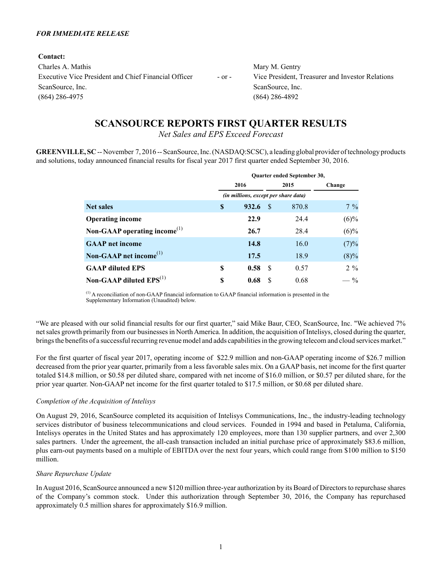### *FOR IMMEDIATE RELEASE*

**Contact:** Charles A. Mathis Mary M. Gentry Executive Vice President and Chief Financial Officer - or - Vice President, Treasurer and Investor Relations ScanSource, Inc. ScanSource, Inc. ScanSource, Inc. (864) 286-4975 (864) 286-4892

## **SCANSOURCE REPORTS FIRST QUARTER RESULTS**

*Net Sales and EPS Exceed Forecast*

**GREENVILLE, SC**-- November 7, 2016 -- ScanSource, Inc. (NASDAQ:SCSC), a leading global provider of technology products and solutions, today announced financial results for fiscal year 2017 first quarter ended September 30, 2016.

|                                                       |   | Quarter ended September 30,          |               |       |                |  |  |  |
|-------------------------------------------------------|---|--------------------------------------|---------------|-------|----------------|--|--|--|
|                                                       |   | 2016                                 |               | 2015  | Change         |  |  |  |
|                                                       |   | (in millions, except per share data) |               |       |                |  |  |  |
| <b>Net sales</b>                                      | S | 932.6                                | <sup>\$</sup> | 870.8 | $7\frac{9}{6}$ |  |  |  |
| <b>Operating income</b>                               |   | 22.9                                 |               | 24.4  | (6)%           |  |  |  |
| Non-GAAP operating income <sup><math>(1)</math></sup> |   | 26.7                                 |               | 28.4  | (6)%           |  |  |  |
| <b>GAAP</b> net income                                |   | 14.8                                 |               | 16.0  | (7)%           |  |  |  |
| Non-GAAP net income <sup><math>(1)</math></sup>       |   | 17.5                                 |               | 18.9  | (8)%           |  |  |  |
| <b>GAAP</b> diluted EPS                               | S | 0.58                                 | <sup>S</sup>  | 0.57  | $2\frac{9}{6}$ |  |  |  |
| Non-GAAP diluted $EPS^{(1)}$                          | S | 0.68                                 | -S            | 0.68  | $\frac{0}{0}$  |  |  |  |

(1) A reconciliation of non-GAAP financial information to GAAP financial information is presented in the Supplementary Information (Unaudited) below.

"We are pleased with our solid financial results for our first quarter," said Mike Baur, CEO, ScanSource, Inc. "We achieved 7% net sales growth primarily from our businesses in North America. In addition, the acquisition of Intelisys, closed during the quarter, brings the benefits of a successful recurring revenue model and adds capabilities in the growing telecom and cloud services market."

For the first quarter of fiscal year 2017, operating income of \$22.9 million and non-GAAP operating income of \$26.7 million decreased from the prior year quarter, primarily from a less favorable sales mix. On a GAAPbasis, net income for the first quarter totaled \$14.8 million, or \$0.58 per diluted share, compared with net income of \$16.0 million, or \$0.57 per diluted share, for the prior year quarter. Non-GAAP net income for the first quarter totaled to \$17.5 million, or \$0.68 per diluted share.

### *Completion of the Acquisition of Intelisys*

On August 29, 2016, ScanSource completed its acquisition of Intelisys Communications, Inc., the industry-leading technology services distributor of business telecommunications and cloud services. Founded in 1994 and based in Petaluma, California, Intelisys operates in the United States and has approximately 120 employees, more than 130 supplier partners, and over 2,300 sales partners. Under the agreement, the all-cash transaction included an initial purchase price of approximately \$83.6 million, plus earn-out payments based on a multiple of EBITDA over the next four years, which could range from \$100 million to \$150 million.

#### *Share Repurchase Update*

In August 2016, ScanSource announced a new \$120 million three-year authorization by its Board of Directors to repurchase shares of the Company's common stock. Under this authorization through September 30, 2016, the Company has repurchased approximately 0.5 million shares for approximately \$16.9 million.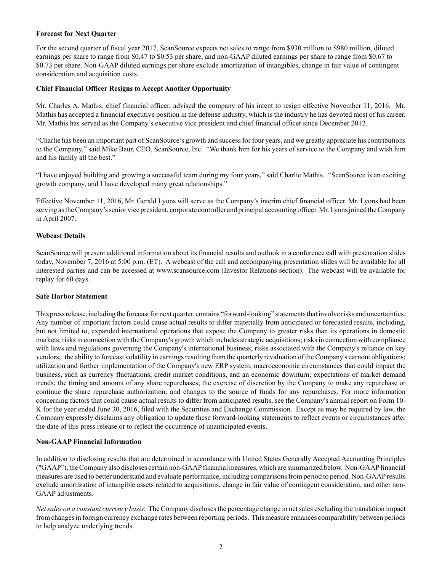### **Forecast for Next Quarter**

For the second quarter of fiscal year 2017, ScanSource expects net sales to range from \$930 million to \$980 million, diluted earnings per share to range from \$0.47 to \$0.53 per share, and non-GAAP diluted earnings per share to range from \$0.67 to \$0.73 per share. Non-GAAP diluted earnings per share exclude amortization of intangibles, change in fair value of contingent consideration and acquisition costs.

### **Chief Financial Officer Resigns to Accept Another Opportunity**

Mr. Charles A. Mathis, chief financial officer, advised the company of his intent to resign effective November 11, 2016. Mr. Mathis has accepted a financial executive position in the defense industry, which is the industry he has devoted most of his career. Mr. Mathis has served as the Company's executive vice president and chief financial officer since December 2012.

"Charlie has been an important part of ScanSource's growth and success for four years, and we greatly appreciate his contributions to the Company," said Mike Baur, CEO, ScanSource, Inc. "We thank him for his years of service to the Company and wish him and his family all the best."

"I have enjoyed building and growing a successful team during my four years," said Charlie Mathis. "ScanSource is an exciting growth company, and I have developed many great relationships."

Effective November 11, 2016, Mr. Gerald Lyons will serve as the Company's interim chief financial officer. Mr. Lyons had been serving as the Company's senior vice president, corporate controller and principal accounting officer. Mr. Lyons joined the Company in April 2007.

### **Webcast Details**

ScanSource will present additional information about its financial results and outlook in a conference call with presentation slides today, November 7, 2016 at 5:00 p.m. (ET). A webcast of the call and accompanying presentation slides will be available for all interested parties and can be accessed at www.scansource.com (Investor Relations section). The webcast will be available for replay for 60 days.

#### **Safe Harbor Statement**

This press release, including the forecast for next quarter, contains "forward-looking" statements that involve risks and uncertainties. Any number of important factors could cause actual results to differ materially from anticipated or forecasted results, including, but not limited to, expanded international operations that expose the Company to greater risks than its operations in domestic markets; risks in connection with the Company's growth which includes strategic acquisitions; risks in connection with compliance with laws and regulations governing the Company's international business; risks associated with the Company's reliance on key vendors; the ability to forecast volatility in earnings resulting from the quarterly revaluation of the Company's earnout obligations; utilization and further implementation of the Company's new ERP system; macroeconomic circumstances that could impact the business, such as currency fluctuations, credit market conditions, and an economic downturn; expectations of market demand trends; the timing and amount of any share repurchases; the exercise of discretion by the Company to make any repurchase or continue the share repurchase authorization; and changes to the source of funds for any repurchases. For more information concerning factors that could cause actual results to differ from anticipated results, see the Company's annual report on Form 10- K for the year ended June 30, 2016, filed with the Securities and Exchange Commission. Except as may be required by law, the Company expressly disclaims any obligation to update these forward-looking statements to reflect events or circumstances after the date of this press release or to reflect the occurrence of unanticipated events.

#### **Non-GAAP Financial Information**

In addition to disclosing results that are determined in accordance with United States Generally Accepted Accounting Principles ("GAAP"), the Company also discloses certain non-GAAPfinancial measures, which are summarized below. Non-GAAPfinancial measures are used to better understand and evaluate performance, including comparisons from period to period. Non-GAAPresults exclude amortization of intangible assets related to acquisitions, change in fair value of contingent consideration, and other non-GAAP adjustments.

*Net sales on a constant currency basis*: The Company discloses the percentage change in net sales excluding the translation impact from changes in foreign currency exchange rates between reporting periods. This measure enhances comparability between periods to help analyze underlying trends.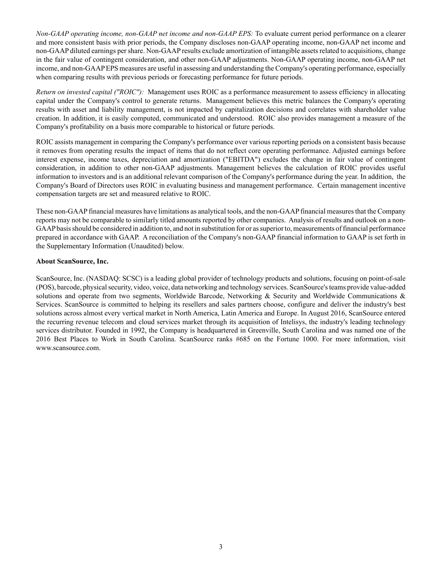*Non-GAAP operating income, non-GAAP net income and non-GAAP EPS:* To evaluate current period performance on a clearer and more consistent basis with prior periods, the Company discloses non-GAAP operating income, non-GAAP net income and non-GAAP diluted earnings per share. Non-GAAP results exclude amortization of intangible assets related to acquisitions, change in the fair value of contingent consideration, and other non-GAAP adjustments. Non-GAAP operating income, non-GAAP net income, and non-GAAPEPS measures are useful in assessing and understanding the Company's operating performance, especially when comparing results with previous periods or forecasting performance for future periods.

*Return on invested capital ("ROIC")*: Management uses ROIC as a performance measurement to assess efficiency in allocating capital under the Company's control to generate returns. Management believes this metric balances the Company's operating results with asset and liability management, is not impacted by capitalization decisions and correlates with shareholder value creation. In addition, it is easily computed, communicated and understood. ROIC also provides management a measure of the Company's profitability on a basis more comparable to historical or future periods.

ROIC assists management in comparing the Company's performance over various reporting periods on a consistent basis because it removes from operating results the impact of items that do not reflect core operating performance. Adjusted earnings before interest expense, income taxes, depreciation and amortization ("EBITDA") excludes the change in fair value of contingent consideration, in addition to other non-GAAP adjustments. Management believes the calculation of ROIC provides useful information to investors and is an additional relevant comparison of the Company's performance during the year. In addition, the Company's Board of Directors uses ROIC in evaluating business and management performance. Certain management incentive compensation targets are set and measured relative to ROIC.

These non-GAAPfinancial measures have limitations as analytical tools, and the non-GAAPfinancial measures that the Company reports may not be comparable to similarly titled amounts reported by other companies. Analysis of results and outlook on a non-GAAPbasis should be considered in addition to, and not in substitution for or as superior to, measurements of financial performance prepared in accordance with GAAP. A reconciliation of the Company's non-GAAPfinancial information to GAAPis set forth in the Supplementary Information (Unaudited) below.

### **About ScanSource, Inc.**

ScanSource, Inc. (NASDAQ: SCSC) is a leading global provider of technology products and solutions, focusing on point-of-sale (POS), barcode, physical security, video, voice, data networking and technology services. ScanSource's teams provide value-added solutions and operate from two segments, Worldwide Barcode, Networking & Security and Worldwide Communications & Services. ScanSource is committed to helping its resellers and sales partners choose, configure and deliver the industry's best solutions across almost every vertical market in North America, Latin America and Europe. In August 2016, ScanSource entered the recurring revenue telecom and cloud services market through its acquisition of Intelisys, the industry's leading technology services distributor. Founded in 1992, the Company is headquartered in Greenville, South Carolina and was named one of the 2016 Best Places to Work in South Carolina. ScanSource ranks #685 on the Fortune 1000. For more information, visit www.scansource.com.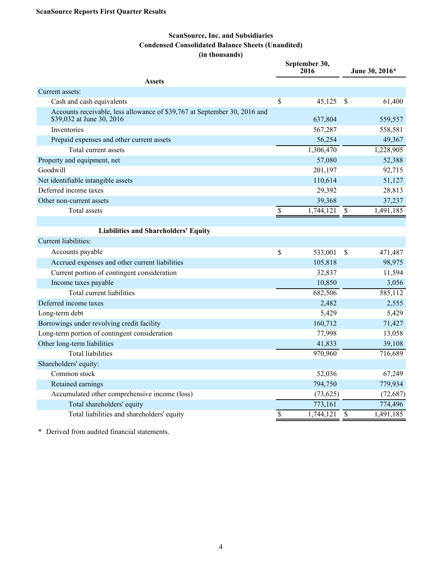## **ScanSource, Inc. and Subsidiaries Condensed Consolidated Balance Sheets (Unaudited) (in thousands)**

|                                                                                                        | September 30,<br>2016 |           |                          | June 30, 2016* |
|--------------------------------------------------------------------------------------------------------|-----------------------|-----------|--------------------------|----------------|
| <b>Assets</b>                                                                                          |                       |           |                          |                |
| Current assets:                                                                                        |                       |           |                          |                |
| Cash and cash equivalents                                                                              | \$                    | 45,125    | $\mathcal{S}$            | 61,400         |
| Accounts receivable, less allowance of \$39,767 at September 30, 2016 and<br>\$39,032 at June 30, 2016 |                       | 637,804   |                          | 559,557        |
| Inventories                                                                                            |                       | 567,287   |                          | 558,581        |
| Prepaid expenses and other current assets                                                              |                       | 56,254    |                          | 49,367         |
| Total current assets                                                                                   |                       | 1,306,470 |                          | 1,228,905      |
| Property and equipment, net                                                                            |                       | 57,080    |                          | 52,388         |
| Goodwill                                                                                               |                       | 201,197   |                          | 92,715         |
| Net identifiable intangible assets                                                                     |                       | 110,614   |                          | 51,127         |
| Deferred income taxes                                                                                  |                       | 29,392    |                          | 28,813         |
| Other non-current assets                                                                               |                       | 39,368    |                          | 37,237         |
| Total assets                                                                                           | \$                    | 1,744,121 | $\mathcal{S}$            | 1,491,185      |
|                                                                                                        |                       |           |                          |                |
| <b>Liabilities and Shareholders' Equity</b>                                                            |                       |           |                          |                |
| Current liabilities:                                                                                   |                       |           |                          |                |
| Accounts payable                                                                                       | \$                    | 533,001   | $\mathcal{S}$            | 471,487        |
| Accrued expenses and other current liabilities                                                         |                       | 105,818   |                          | 98,975         |
| Current portion of contingent consideration                                                            |                       | 32,837    |                          | 11,594         |
| Income taxes payable                                                                                   |                       | 10,850    |                          | 3,056          |
| Total current liabilities                                                                              |                       | 682,506   |                          | 585,112        |
| Deferred income taxes                                                                                  |                       | 2,482     |                          | 2,555          |
| Long-term debt                                                                                         |                       | 5,429     |                          | 5,429          |
| Borrowings under revolving credit facility                                                             |                       | 160,712   |                          | 71,427         |
| Long-term portion of contingent consideration                                                          |                       | 77,998    |                          | 13,058         |
| Other long-term liabilities                                                                            |                       | 41,833    |                          | 39,108         |
| <b>Total liabilities</b>                                                                               |                       | 970,960   |                          | 716,689        |
| Shareholders' equity:                                                                                  |                       |           |                          |                |
| Common stock                                                                                           |                       | 52,036    |                          | 67,249         |
| Retained earnings                                                                                      |                       | 794,750   |                          | 779,934        |
| Accumulated other comprehensive income (loss)                                                          |                       | (73, 625) |                          | (72, 687)      |
| Total shareholders' equity                                                                             |                       | 773,161   |                          | 774,496        |
| Total liabilities and shareholders' equity                                                             | $\overline{\$}$       | 1,744,121 | $\overline{\mathcal{S}}$ | 1,491,185      |

\* Derived from audited financial statements.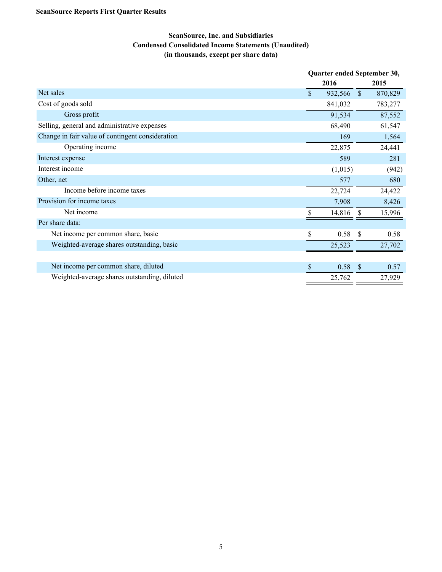## **ScanSource, Inc. and Subsidiaries Condensed Consolidated Income Statements (Unaudited) (in thousands, except per share data)**

|                                                  | Quarter ended September 30,   |         |  |  |  |
|--------------------------------------------------|-------------------------------|---------|--|--|--|
|                                                  | 2016                          | 2015    |  |  |  |
| Net sales                                        | \$<br>$\mathbb{S}$<br>932,566 | 870,829 |  |  |  |
| Cost of goods sold                               | 841,032                       | 783,277 |  |  |  |
| Gross profit                                     | 91,534                        | 87,552  |  |  |  |
| Selling, general and administrative expenses     | 68,490                        | 61,547  |  |  |  |
| Change in fair value of contingent consideration | 169                           | 1,564   |  |  |  |
| Operating income                                 | 22,875                        | 24,441  |  |  |  |
| Interest expense                                 | 589                           | 281     |  |  |  |
| Interest income                                  | (1,015)                       | (942)   |  |  |  |
| Other, net                                       | 577                           | 680     |  |  |  |
| Income before income taxes                       | 22,724                        | 24,422  |  |  |  |
| Provision for income taxes                       | 7,908                         | 8,426   |  |  |  |
| Net income                                       | \$<br>14,816<br><sup>S</sup>  | 15,996  |  |  |  |
| Per share data:                                  |                               |         |  |  |  |
| Net income per common share, basic               | \$<br>0.58<br>-S              | 0.58    |  |  |  |
| Weighted-average shares outstanding, basic       | 25,523                        | 27,702  |  |  |  |
|                                                  |                               |         |  |  |  |
| Net income per common share, diluted             | \$<br>0.58<br>-S              | 0.57    |  |  |  |
| Weighted-average shares outstanding, diluted     | 25,762                        | 27,929  |  |  |  |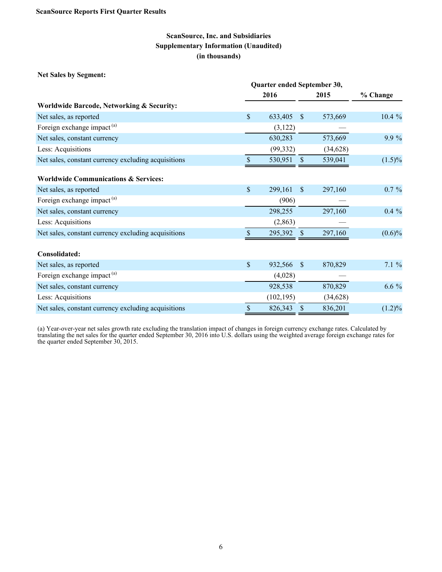**Net Sales by Segment:**

|                                                     |     | Quarter ended September 30, |               |           |           |  |  |  |
|-----------------------------------------------------|-----|-----------------------------|---------------|-----------|-----------|--|--|--|
|                                                     |     | 2016                        |               | 2015      | % Change  |  |  |  |
| Worldwide Barcode, Networking & Security:           |     |                             |               |           |           |  |  |  |
| Net sales, as reported                              | \$  | 633,405                     | $\mathcal{S}$ | 573,669   | 10.4 %    |  |  |  |
| Foreign exchange impact <sup>(a)</sup>              |     | (3,122)                     |               |           |           |  |  |  |
| Net sales, constant currency                        |     | 630,283                     |               | 573,669   | 9.9 %     |  |  |  |
| Less: Acquisitions                                  |     | (99, 332)                   |               | (34, 628) |           |  |  |  |
| Net sales, constant currency excluding acquisitions | \$. | 530,951                     | \$            | 539,041   | $(1.5)\%$ |  |  |  |
| <b>Worldwide Communications &amp; Services:</b>     |     |                             |               |           |           |  |  |  |
| Net sales, as reported                              | \$  | 299,161                     | \$            | 297,160   | $0.7 \%$  |  |  |  |
| Foreign exchange impact <sup>(a)</sup>              |     | (906)                       |               |           |           |  |  |  |
| Net sales, constant currency                        |     | 298,255                     |               | 297,160   | $0.4\%$   |  |  |  |
| Less: Acquisitions                                  |     | (2,863)                     |               |           |           |  |  |  |
| Net sales, constant currency excluding acquisitions |     | 295,392                     | \$            | 297,160   | $(0.6)\%$ |  |  |  |
| Consolidated:                                       |     |                             |               |           |           |  |  |  |
| Net sales, as reported                              | \$  | 932,566                     | $\mathbb{S}$  | 870,829   | 7.1%      |  |  |  |
| Foreign exchange impact <sup>(a)</sup>              |     | (4,028)                     |               |           |           |  |  |  |
| Net sales, constant currency                        |     | 928,538                     |               | 870,829   | $6.6\%$   |  |  |  |
| Less: Acquisitions                                  |     | (102, 195)                  |               | (34, 628) |           |  |  |  |
| Net sales, constant currency excluding acquisitions | \$  | 826,343                     | \$            | 836,201   | $(1.2)\%$ |  |  |  |

(a) Year-over-year net sales growth rate excluding the translation impact of changes in foreign currency exchange rates. Calculated by translating the net sales for the quarter ended September 30, 2016 into U.S. dollars using the weighted average foreign exchange rates for the quarter ended September 30, 2015.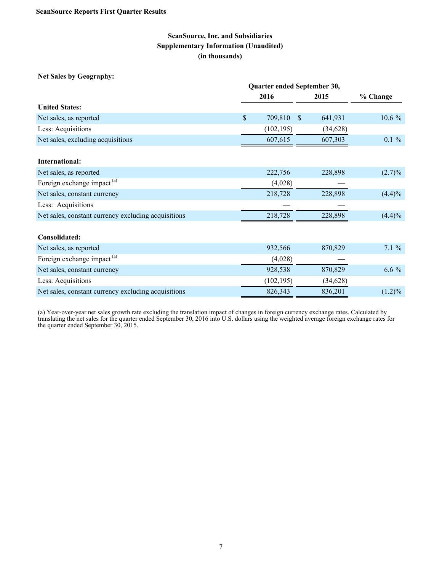### **Net Sales by Geography:**

|                                                     |               | Quarter ended September 30, |                         |           |
|-----------------------------------------------------|---------------|-----------------------------|-------------------------|-----------|
|                                                     |               | 2016                        | 2015                    | % Change  |
| <b>United States:</b>                               |               |                             |                         |           |
| Net sales, as reported                              | $\mathcal{S}$ | 709,810                     | 641,931<br><sup>S</sup> | $10.6 \%$ |
| Less: Acquisitions                                  |               | (102, 195)                  | (34, 628)               |           |
| Net sales, excluding acquisitions                   |               | 607,615                     | 607,303                 | $0.1 \%$  |
|                                                     |               |                             |                         |           |
| International:                                      |               |                             |                         |           |
| Net sales, as reported                              |               | 222,756                     | 228,898                 | $(2.7)\%$ |
| Foreign exchange impact <sup>(a)</sup>              |               | (4,028)                     |                         |           |
| Net sales, constant currency                        |               | 218,728                     | 228,898                 | (4.4)%    |
| Less: Acquisitions                                  |               |                             |                         |           |
| Net sales, constant currency excluding acquisitions |               | 218,728                     | 228,898                 | (4.4)%    |
|                                                     |               |                             |                         |           |
| Consolidated:                                       |               |                             |                         |           |
| Net sales, as reported                              |               | 932,566                     | 870,829                 | $7.1 \%$  |
| Foreign exchange impact <sup>(a)</sup>              |               | (4,028)                     |                         |           |
| Net sales, constant currency                        |               | 928,538                     | 870,829                 | $6.6\%$   |
| Less: Acquisitions                                  |               | (102, 195)                  | (34, 628)               |           |
| Net sales, constant currency excluding acquisitions |               | 826,343                     | 836,201                 | $(1.2)\%$ |

(a) Year-over-year net sales growth rate excluding the translation impact of changes in foreign currency exchange rates. Calculated by translating the net sales for the quarter ended September 30, 2016 into U.S. dollars using the weighted average foreign exchange rates for the quarter ended September 30, 2015.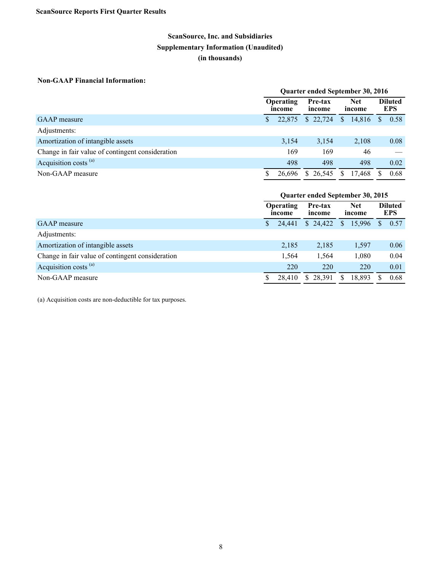### **Non-GAAP Financial Information:**

|                                                  | Quarter ended September 30, 2016 |        |                   |                      |        |     |                              |  |
|--------------------------------------------------|----------------------------------|--------|-------------------|----------------------|--------|-----|------------------------------|--|
|                                                  | <b>Operating</b><br>income       |        | Pre-tax<br>income | <b>Net</b><br>income |        |     | <b>Diluted</b><br><b>EPS</b> |  |
| <b>GAAP</b> measure                              |                                  | 22,875 | \$22,724          | $\mathbb{S}^-$       | 14,816 | \$. | 0.58                         |  |
| Adjustments:                                     |                                  |        |                   |                      |        |     |                              |  |
| Amortization of intangible assets                |                                  | 3.154  | 3,154             |                      | 2,108  |     | 0.08                         |  |
| Change in fair value of contingent consideration |                                  | 169    | 169               |                      | 46     |     |                              |  |
| Acquisition costs <sup>(a)</sup>                 |                                  | 498    | 498               |                      | 498    |     | 0.02                         |  |
| Non-GAAP measure                                 |                                  | 26,696 | \$ 26.545         |                      | 17,468 |     | 0.68                         |  |

|                                                  | Quarter ended September 30, 2015 |        |  |          |              |        |                   |      |                      |  |  |                              |
|--------------------------------------------------|----------------------------------|--------|--|----------|--------------|--------|-------------------|------|----------------------|--|--|------------------------------|
|                                                  | <b>Operating</b><br>income       |        |  |          |              |        | Pre-tax<br>income |      | <b>Net</b><br>income |  |  | <b>Diluted</b><br><b>EPS</b> |
| <b>GAAP</b> measure                              |                                  | 24,441 |  | \$24,422 | $\mathbb{S}$ | 15,996 | <b>S</b>          | 0.57 |                      |  |  |                              |
| Adjustments:                                     |                                  |        |  |          |              |        |                   |      |                      |  |  |                              |
| Amortization of intangible assets                |                                  | 2,185  |  | 2,185    |              | 1,597  |                   | 0.06 |                      |  |  |                              |
| Change in fair value of contingent consideration |                                  | 1,564  |  | 1,564    |              | 1,080  |                   | 0.04 |                      |  |  |                              |
| Acquisition costs <sup>(a)</sup>                 |                                  | 220    |  | 220      |              | 220    |                   | 0.01 |                      |  |  |                              |
| Non-GAAP measure                                 |                                  | 28,410 |  | \$28,391 | S.           | 18.893 |                   | 0.68 |                      |  |  |                              |

(a) Acquisition costs are non-deductible for tax purposes.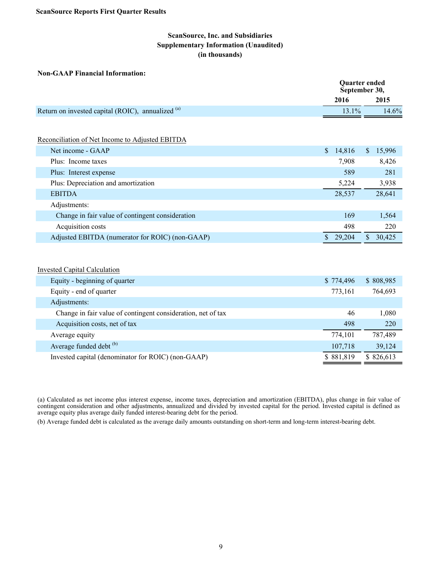### **Non-GAAP Financial Information:**

|                                                   | <b>Ouarter ended</b><br>September 30, |                        |
|---------------------------------------------------|---------------------------------------|------------------------|
|                                                   | 2016                                  | 2015                   |
| Return on invested capital (ROIC), annualized (a) | $13.1\%$                              | 14.6%                  |
|                                                   |                                       |                        |
| Reconciliation of Net Income to Adjusted EBITDA   |                                       |                        |
| Net income - GAAP                                 | S.<br>14,816                          | $\mathbb{S}$<br>15,996 |
| Plus: Income taxes                                | 7,908                                 | 8,426                  |
| Plus: Interest expense                            | 589                                   | 281                    |
| Plus: Depreciation and amortization               | 5,224                                 | 3,938                  |
| <b>EBITDA</b>                                     | 28,537                                | 28,641                 |
| Adjustments:                                      |                                       |                        |
| Change in fair value of contingent consideration  | 160                                   | 1561                   |

| Change in fair value of contingent consideration | 169 | 1.564 |
|--------------------------------------------------|-----|-------|
| Acquisition costs                                | 498 | 220   |
| Adjusted EBITDA (numerator for ROIC) (non-GAAP)  |     |       |
|                                                  |     |       |

### Invested Capital Calculation

| Equity - beginning of quarter                                | \$774,496 | \$808,985 |
|--------------------------------------------------------------|-----------|-----------|
| Equity - end of quarter                                      | 773,161   | 764,693   |
| Adjustments:                                                 |           |           |
| Change in fair value of contingent consideration, net of tax | 46        | 1,080     |
| Acquisition costs, net of tax                                | 498       | 220       |
| Average equity                                               | 774,101   | 787.489   |
| Average funded debt <sup>(b)</sup>                           | 107,718   | 39,124    |
| Invested capital (denominator for ROIC) (non-GAAP)           | \$881,819 | \$826,613 |

(a) Calculated as net income plus interest expense, income taxes, depreciation and amortization (EBITDA), plus change in fair value of contingent consideration and other adjustments, annualized and divided by invested capital for the period. Invested capital is defined as average equity plus average daily funded interest-bearing debt for the period.

(b) Average funded debt is calculated as the average daily amounts outstanding on short-term and long-term interest-bearing debt.